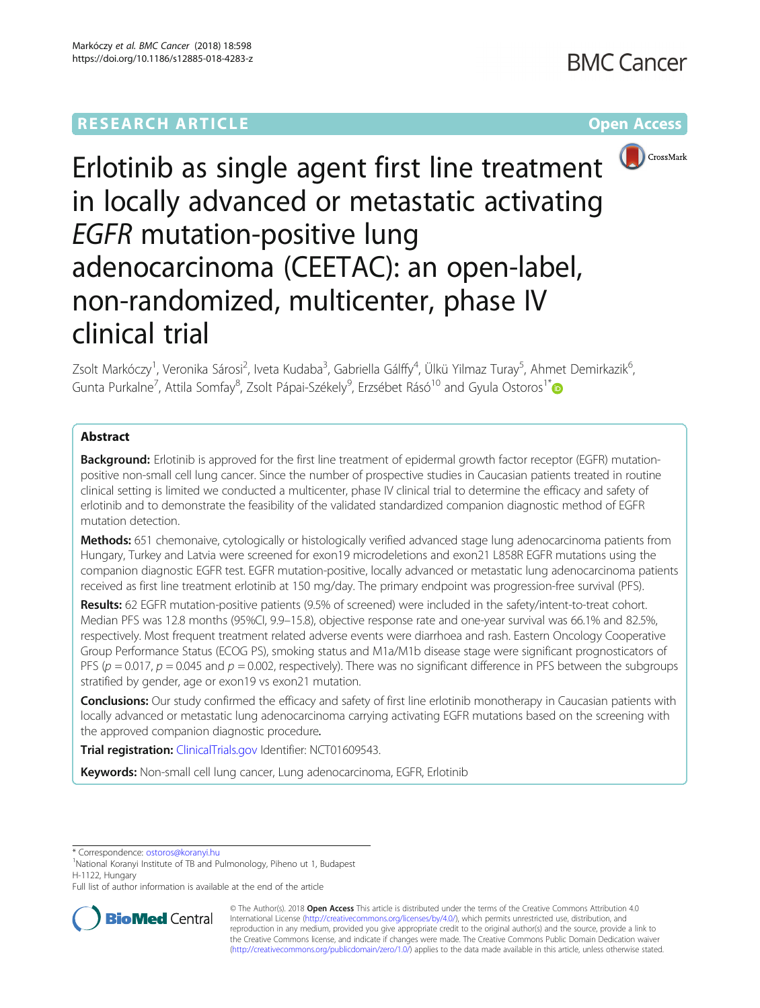

# Erlotinib as single agent first line treatment in locally advanced or metastatic activating EGFR mutation-positive lung adenocarcinoma (CEETAC): an open-label, non-randomized, multicenter, phase IV clinical trial

Zsolt Markóczy<sup>1</sup>, Veronika Sárosi<sup>2</sup>, Iveta Kudaba<sup>3</sup>, Gabriella Gálffy<sup>4</sup>, Ülkü Yilmaz Turay<sup>5</sup>, Ahmet Demirkazik<sup>6</sup> י<br>, Gunta Purkalne<sup>7</sup>, Attila Somfay<sup>8</sup>, Zsolt Pápai-Székely<sup>9</sup>, Erzsébet Rásó<sup>10</sup> and Gyula Ostoros<sup>1\*</sup>

# Abstract

**Background:** Erlotinib is approved for the first line treatment of epidermal growth factor receptor (EGFR) mutationpositive non-small cell lung cancer. Since the number of prospective studies in Caucasian patients treated in routine clinical setting is limited we conducted a multicenter, phase IV clinical trial to determine the efficacy and safety of erlotinib and to demonstrate the feasibility of the validated standardized companion diagnostic method of EGFR mutation detection.

Methods: 651 chemonaive, cytologically or histologically verified advanced stage lung adenocarcinoma patients from Hungary, Turkey and Latvia were screened for exon19 microdeletions and exon21 L858R EGFR mutations using the companion diagnostic EGFR test. EGFR mutation-positive, locally advanced or metastatic lung adenocarcinoma patients received as first line treatment erlotinib at 150 mg/day. The primary endpoint was progression-free survival (PFS).

Results: 62 EGFR mutation-positive patients (9.5% of screened) were included in the safety/intent-to-treat cohort. Median PFS was 12.8 months (95%CI, 9.9–15.8), objective response rate and one-year survival was 66.1% and 82.5%, respectively. Most frequent treatment related adverse events were diarrhoea and rash. Eastern Oncology Cooperative Group Performance Status (ECOG PS), smoking status and M1a/M1b disease stage were significant prognosticators of PFS ( $p = 0.017$ ,  $p = 0.045$  and  $p = 0.002$ , respectively). There was no significant difference in PFS between the subgroups stratified by gender, age or exon19 vs exon21 mutation.

Conclusions: Our study confirmed the efficacy and safety of first line erlotinib monotherapy in Caucasian patients with locally advanced or metastatic lung adenocarcinoma carrying activating EGFR mutations based on the screening with the approved companion diagnostic procedure.

Trial registration: [ClinicalTrials.gov](http://clinicaltrials.gov) Identifier: NCT01609543.

Keywords: Non-small cell lung cancer, Lung adenocarcinoma, EGFR, Erlotinib

\* Correspondence: [ostoros@koranyi.hu](mailto:ostoros@koranyi.hu) <sup>1</sup>

<sup>1</sup>National Koranyi Institute of TB and Pulmonology, Piheno ut 1, Budapest H-1122, Hungary

Full list of author information is available at the end of the article



© The Author(s). 2018 Open Access This article is distributed under the terms of the Creative Commons Attribution 4.0 International License [\(http://creativecommons.org/licenses/by/4.0/](http://creativecommons.org/licenses/by/4.0/)), which permits unrestricted use, distribution, and reproduction in any medium, provided you give appropriate credit to the original author(s) and the source, provide a link to the Creative Commons license, and indicate if changes were made. The Creative Commons Public Domain Dedication waiver [\(http://creativecommons.org/publicdomain/zero/1.0/](http://creativecommons.org/publicdomain/zero/1.0/)) applies to the data made available in this article, unless otherwise stated.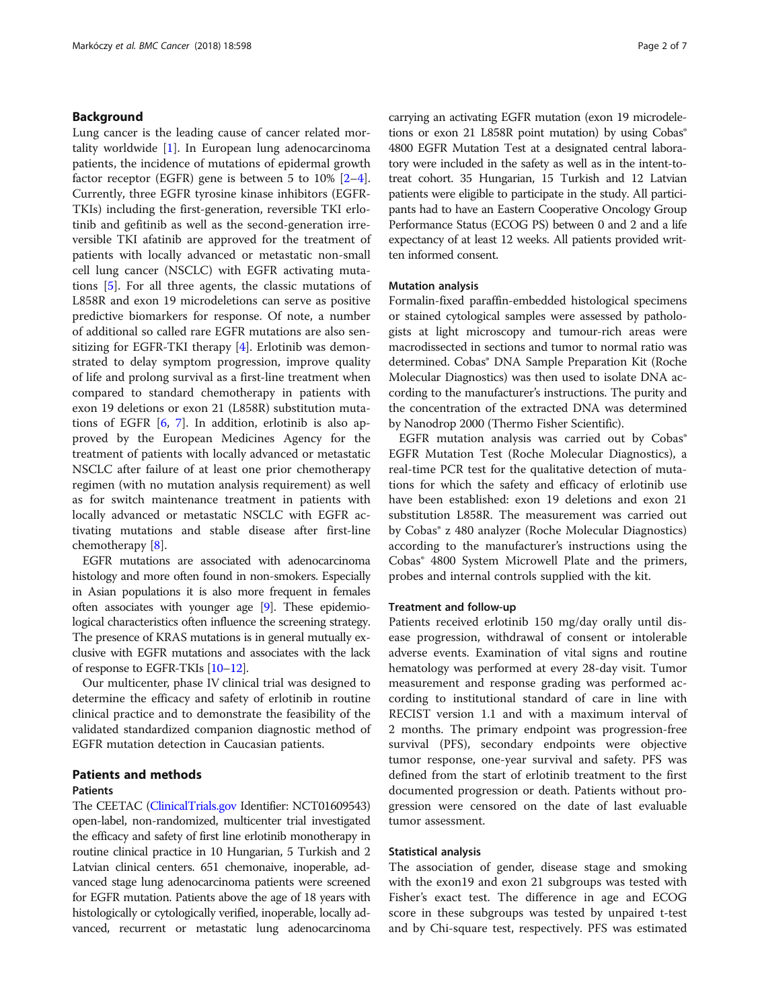# Background

Lung cancer is the leading cause of cancer related mortality worldwide [[1\]](#page-5-0). In European lung adenocarcinoma patients, the incidence of mutations of epidermal growth factor receptor (EGFR) gene is between 5 to 10% [\[2](#page-5-0)–[4](#page-5-0)]. Currently, three EGFR tyrosine kinase inhibitors (EGFR-TKIs) including the first-generation, reversible TKI erlotinib and gefitinib as well as the second-generation irreversible TKI afatinib are approved for the treatment of patients with locally advanced or metastatic non-small cell lung cancer (NSCLC) with EGFR activating mutations [\[5](#page-5-0)]. For all three agents, the classic mutations of L858R and exon 19 microdeletions can serve as positive predictive biomarkers for response. Of note, a number of additional so called rare EGFR mutations are also sensitizing for EGFR-TKI therapy [[4\]](#page-5-0). Erlotinib was demonstrated to delay symptom progression, improve quality of life and prolong survival as a first-line treatment when compared to standard chemotherapy in patients with exon 19 deletions or exon 21 (L858R) substitution mutations of EGFR [[6,](#page-5-0) [7\]](#page-5-0). In addition, erlotinib is also approved by the European Medicines Agency for the treatment of patients with locally advanced or metastatic NSCLC after failure of at least one prior chemotherapy regimen (with no mutation analysis requirement) as well as for switch maintenance treatment in patients with locally advanced or metastatic NSCLC with EGFR activating mutations and stable disease after first-line chemotherapy [[8\]](#page-5-0).

EGFR mutations are associated with adenocarcinoma histology and more often found in non-smokers. Especially in Asian populations it is also more frequent in females often associates with younger age [[9\]](#page-5-0). These epidemiological characteristics often influence the screening strategy. The presence of KRAS mutations is in general mutually exclusive with EGFR mutations and associates with the lack of response to EGFR-TKIs [\[10](#page-5-0)–[12\]](#page-5-0).

Our multicenter, phase IV clinical trial was designed to determine the efficacy and safety of erlotinib in routine clinical practice and to demonstrate the feasibility of the validated standardized companion diagnostic method of EGFR mutation detection in Caucasian patients.

# Patients and methods

# Patients

The CEETAC ([ClinicalTrials.gov](http://clinicaltrials.gov) Identifier: NCT01609543) open-label, non-randomized, multicenter trial investigated the efficacy and safety of first line erlotinib monotherapy in routine clinical practice in 10 Hungarian, 5 Turkish and 2 Latvian clinical centers. 651 chemonaive, inoperable, advanced stage lung adenocarcinoma patients were screened for EGFR mutation. Patients above the age of 18 years with histologically or cytologically verified, inoperable, locally advanced, recurrent or metastatic lung adenocarcinoma carrying an activating EGFR mutation (exon 19 microdeletions or exon 21 L858R point mutation) by using Cobas<sup>®</sup> 4800 EGFR Mutation Test at a designated central laboratory were included in the safety as well as in the intent-totreat cohort. 35 Hungarian, 15 Turkish and 12 Latvian patients were eligible to participate in the study. All participants had to have an Eastern Cooperative Oncology Group Performance Status (ECOG PS) between 0 and 2 and a life expectancy of at least 12 weeks. All patients provided written informed consent.

# Mutation analysis

Formalin-fixed paraffin-embedded histological specimens or stained cytological samples were assessed by pathologists at light microscopy and tumour-rich areas were macrodissected in sections and tumor to normal ratio was determined. Cobas® DNA Sample Preparation Kit (Roche Molecular Diagnostics) was then used to isolate DNA according to the manufacturer's instructions. The purity and the concentration of the extracted DNA was determined by Nanodrop 2000 (Thermo Fisher Scientific).

EGFR mutation analysis was carried out by Cobas® EGFR Mutation Test (Roche Molecular Diagnostics), a real-time PCR test for the qualitative detection of mutations for which the safety and efficacy of erlotinib use have been established: exon 19 deletions and exon 21 substitution L858R. The measurement was carried out by Cobas® z 480 analyzer (Roche Molecular Diagnostics) according to the manufacturer's instructions using the Cobas® 4800 System Microwell Plate and the primers, probes and internal controls supplied with the kit.

# Treatment and follow-up

Patients received erlotinib 150 mg/day orally until disease progression, withdrawal of consent or intolerable adverse events. Examination of vital signs and routine hematology was performed at every 28-day visit. Tumor measurement and response grading was performed according to institutional standard of care in line with RECIST version 1.1 and with a maximum interval of 2 months. The primary endpoint was progression-free survival (PFS), secondary endpoints were objective tumor response, one-year survival and safety. PFS was defined from the start of erlotinib treatment to the first documented progression or death. Patients without progression were censored on the date of last evaluable tumor assessment.

# Statistical analysis

The association of gender, disease stage and smoking with the exon19 and exon 21 subgroups was tested with Fisher's exact test. The difference in age and ECOG score in these subgroups was tested by unpaired t-test and by Chi-square test, respectively. PFS was estimated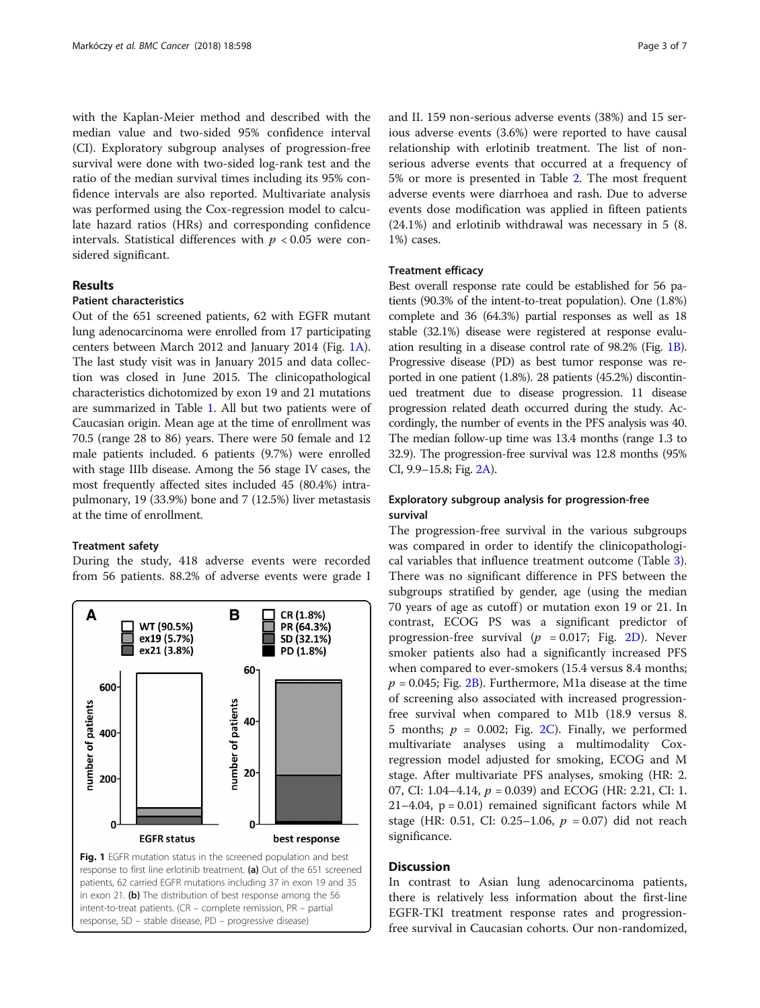with the Kaplan-Meier method and described with the median value and two-sided 95% confidence interval (CI). Exploratory subgroup analyses of progression-free survival were done with two-sided log-rank test and the ratio of the median survival times including its 95% confidence intervals are also reported. Multivariate analysis was performed using the Cox-regression model to calculate hazard ratios (HRs) and corresponding confidence intervals. Statistical differences with  $p < 0.05$  were considered significant.

# Results

# Patient characteristics

Out of the 651 screened patients, 62 with EGFR mutant lung adenocarcinoma were enrolled from 17 participating centers between March 2012 and January 2014 (Fig. 1A). The last study visit was in January 2015 and data collection was closed in June 2015. The clinicopathological characteristics dichotomized by exon 19 and 21 mutations are summarized in Table [1](#page-3-0). All but two patients were of Caucasian origin. Mean age at the time of enrollment was 70.5 (range 28 to 86) years. There were 50 female and 12 male patients included. 6 patients (9.7%) were enrolled with stage IIIb disease. Among the 56 stage IV cases, the most frequently affected sites included 45 (80.4%) intrapulmonary, 19 (33.9%) bone and 7 (12.5%) liver metastasis at the time of enrollment.

#### Treatment safety

During the study, 418 adverse events were recorded from 56 patients. 88.2% of adverse events were grade I



response, SD – stable disease, PD – progressive disease)

and II. 159 non-serious adverse events (38%) and 15 serious adverse events (3.6%) were reported to have causal relationship with erlotinib treatment. The list of nonserious adverse events that occurred at a frequency of 5% or more is presented in Table [2](#page-3-0). The most frequent adverse events were diarrhoea and rash. Due to adverse events dose modification was applied in fifteen patients (24.1%) and erlotinib withdrawal was necessary in 5 (8. 1%) cases.

# Treatment efficacy

Best overall response rate could be established for 56 patients (90.3% of the intent-to-treat population). One (1.8%) complete and 36 (64.3%) partial responses as well as 18 stable (32.1%) disease were registered at response evaluation resulting in a disease control rate of 98.2% (Fig. 1B). Progressive disease (PD) as best tumor response was reported in one patient (1.8%). 28 patients (45.2%) discontinued treatment due to disease progression. 11 disease progression related death occurred during the study. Accordingly, the number of events in the PFS analysis was 40. The median follow-up time was 13.4 months (range 1.3 to 32.9). The progression-free survival was 12.8 months (95% CI, 9.9–15.8; Fig. [2A\)](#page-4-0).

# Exploratory subgroup analysis for progression-free survival

The progression-free survival in the various subgroups was compared in order to identify the clinicopathological variables that influence treatment outcome (Table [3](#page-4-0)). There was no significant difference in PFS between the subgroups stratified by gender, age (using the median 70 years of age as cutoff ) or mutation exon 19 or 21. In contrast, ECOG PS was a significant predictor of progression-free survival ( $p = 0.017$ ; Fig. [2D](#page-4-0)). Never smoker patients also had a significantly increased PFS when compared to ever-smokers (15.4 versus 8.4 months;  $p = 0.045$ ; Fig. [2B\)](#page-4-0). Furthermore, M1a disease at the time of screening also associated with increased progressionfree survival when compared to M1b (18.9 versus 8. 5 months;  $p = 0.002$ ; Fig. [2C\)](#page-4-0). Finally, we performed multivariate analyses using a multimodality Coxregression model adjusted for smoking, ECOG and M stage. After multivariate PFS analyses, smoking (HR: 2. 07, CI: 1.04–4.14,  $p = 0.039$ ) and ECOG (HR: 2.21, CI: 1. 21–4.04,  $p = 0.01$ ) remained significant factors while M stage (HR: 0.51, CI: 0.25–1.06,  $p = 0.07$ ) did not reach significance.

# **Discussion**

In contrast to Asian lung adenocarcinoma patients, there is relatively less information about the first-line EGFR-TKI treatment response rates and progressionfree survival in Caucasian cohorts. Our non-randomized,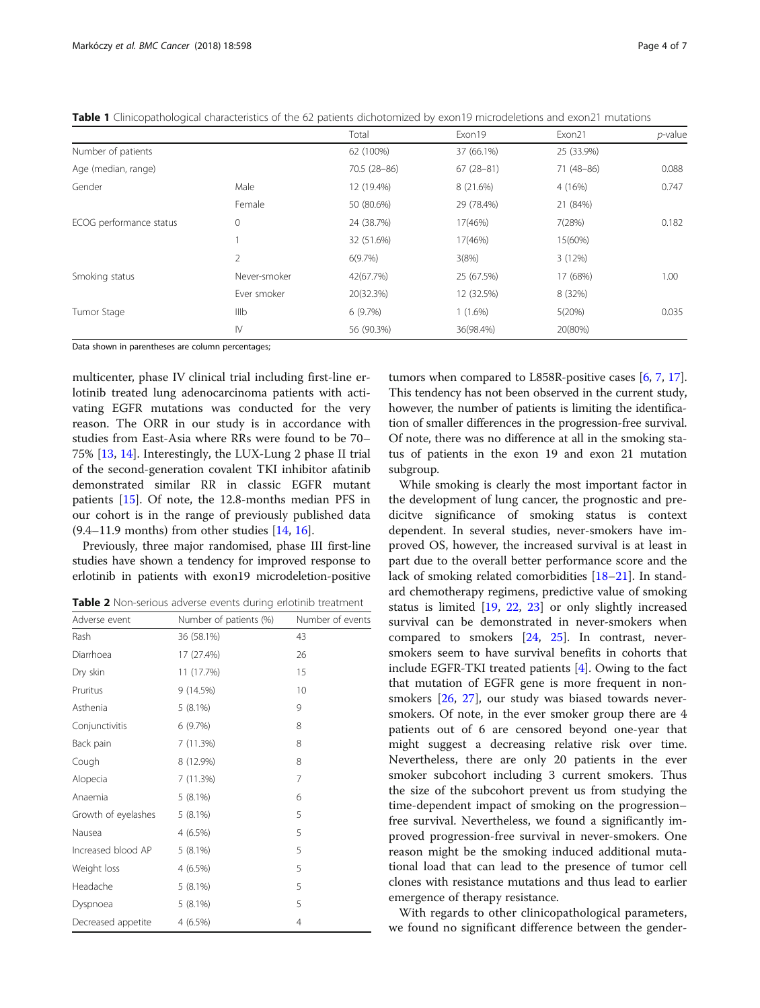|                         |                | Total        | Exon19      | Exon21     | <i>p</i> -value |
|-------------------------|----------------|--------------|-------------|------------|-----------------|
| Number of patients      |                | 62 (100%)    | 37 (66.1%)  | 25 (33.9%) |                 |
| Age (median, range)     |                | 70.5 (28-86) | $67(28-81)$ | 71 (48-86) | 0.088           |
| Gender                  | Male           | 12 (19.4%)   | 8 (21.6%)   | 4 (16%)    | 0.747           |
|                         | Female         | 50 (80.6%)   | 29 (78.4%)  | 21 (84%)   |                 |
| ECOG performance status | 0              | 24 (38.7%)   | 17(46%)     | 7(28%)     | 0.182           |
|                         |                | 32 (51.6%)   | 17(46%)     | 15(60%)    |                 |
|                         | $\overline{2}$ | 6(9.7%)      | 3(8%)       | 3(12%)     |                 |
| Smoking status          | Never-smoker   | 42(67.7%)    | 25 (67.5%)  | 17 (68%)   | 1.00            |
|                         | Ever smoker    | 20(32.3%)    | 12 (32.5%)  | 8 (32%)    |                 |
| Tumor Stage             | IIIb           | 6(9.7%)      | $1(1.6\%)$  | 5(20%)     | 0.035           |
|                         | $\mathsf{N}$   | 56 (90.3%)   | 36(98.4%)   | 20(80%)    |                 |

<span id="page-3-0"></span>Table 1 Clinicopathological characteristics of the 62 patients dichotomized by exon19 microdeletions and exon21 mutations

Data shown in parentheses are column percentages;

multicenter, phase IV clinical trial including first-line erlotinib treated lung adenocarcinoma patients with activating EGFR mutations was conducted for the very reason. The ORR in our study is in accordance with studies from East-Asia where RRs were found to be 70– 75% [\[13](#page-5-0), [14](#page-5-0)]. Interestingly, the LUX-Lung 2 phase II trial of the second-generation covalent TKI inhibitor afatinib demonstrated similar RR in classic EGFR mutant patients [\[15](#page-5-0)]. Of note, the 12.8-months median PFS in our cohort is in the range of previously published data  $(9.4–11.9$  months) from other studies  $[14, 16]$  $[14, 16]$  $[14, 16]$  $[14, 16]$ .

Previously, three major randomised, phase III first-line studies have shown a tendency for improved response to erlotinib in patients with exon19 microdeletion-positive

Table 2 Non-serious adverse events during erlotinib treatment

| Adverse event       | Number of patients (%) | Number of events |
|---------------------|------------------------|------------------|
| Rash                | 36 (58.1%)             | 43               |
| Diarrhoea           | 17 (27.4%)             | 26               |
| Dry skin            | 11 (17.7%)             | 15               |
| Pruritus            | 9(14.5%)               | 10               |
| Asthenia            | $5(8.1\%)$             | 9                |
| Conjunctivitis      | 6 (9.7%)               | 8                |
| Back pain           | 7 (11.3%)              | 8                |
| Cough               | 8 (12.9%)              | 8                |
| Alopecia            | 7 (11.3%)              | 7                |
| Anaemia             | $5(8.1\%)$             | 6                |
| Growth of eyelashes | $5(8.1\%)$             | 5                |
| Nausea              | 4 (6.5%)               | 5                |
| Increased blood AP  | $5(8.1\%)$             | 5                |
| Weight loss         | 4 (6.5%)               | 5                |
| Headache            | $5(8.1\%)$             | 5                |
| Dyspnoea            | $5(8.1\%)$             | 5                |
| Decreased appetite  | $4(6.5\%)$             | $\overline{4}$   |
|                     |                        |                  |

tumors when compared to L858R-positive cases [\[6,](#page-5-0) [7,](#page-5-0) [17](#page-6-0)]. This tendency has not been observed in the current study, however, the number of patients is limiting the identification of smaller differences in the progression-free survival. Of note, there was no difference at all in the smoking status of patients in the exon 19 and exon 21 mutation subgroup.

While smoking is clearly the most important factor in the development of lung cancer, the prognostic and predicitve significance of smoking status is context dependent. In several studies, never-smokers have improved OS, however, the increased survival is at least in part due to the overall better performance score and the lack of smoking related comorbidities [[18](#page-6-0)–[21](#page-6-0)]. In standard chemotherapy regimens, predictive value of smoking status is limited [\[19](#page-6-0), [22,](#page-6-0) [23](#page-6-0)] or only slightly increased survival can be demonstrated in never-smokers when compared to smokers [\[24](#page-6-0), [25](#page-6-0)]. In contrast, neversmokers seem to have survival benefits in cohorts that include EGFR-TKI treated patients [\[4](#page-5-0)]. Owing to the fact that mutation of EGFR gene is more frequent in nonsmokers [\[26,](#page-6-0) [27](#page-6-0)], our study was biased towards neversmokers. Of note, in the ever smoker group there are 4 patients out of 6 are censored beyond one-year that might suggest a decreasing relative risk over time. Nevertheless, there are only 20 patients in the ever smoker subcohort including 3 current smokers. Thus the size of the subcohort prevent us from studying the time-dependent impact of smoking on the progression– free survival. Nevertheless, we found a significantly improved progression-free survival in never-smokers. One reason might be the smoking induced additional mutational load that can lead to the presence of tumor cell clones with resistance mutations and thus lead to earlier emergence of therapy resistance.

With regards to other clinicopathological parameters, we found no significant difference between the gender-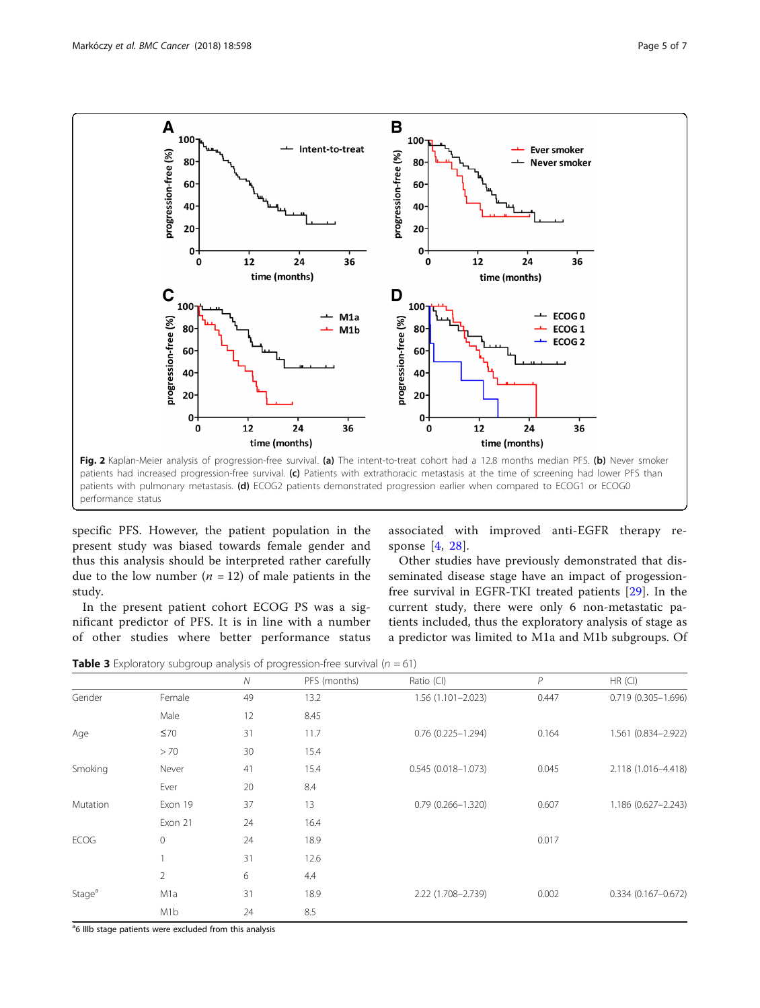<span id="page-4-0"></span>

specific PFS. However, the patient population in the present study was biased towards female gender and thus this analysis should be interpreted rather carefully due to the low number  $(n = 12)$  of male patients in the study.

In the present patient cohort ECOG PS was a significant predictor of PFS. It is in line with a number of other studies where better performance status

associated with improved anti-EGFR therapy response [[4,](#page-5-0) [28](#page-6-0)].

Other studies have previously demonstrated that disseminated disease stage have an impact of progessionfree survival in EGFR-TKI treated patients [\[29](#page-6-0)]. In the current study, there were only 6 non-metastatic patients included, thus the exploratory analysis of stage as a predictor was limited to M1a and M1b subgroups. Of

**Table 3** Exploratory subgroup analysis of progression-free survival ( $n = 61$ )

|                    |                  | $\mathcal N$ | PFS (months) | Ratio (CI)             | $\overline{P}$ | HR (CI)                |
|--------------------|------------------|--------------|--------------|------------------------|----------------|------------------------|
| Gender             | Female           | 49           | 13.2         | $1.56(1.101 - 2.023)$  | 0.447          | 0.719 (0.305-1.696)    |
|                    | Male             | 12           | 8.45         |                        |                |                        |
| Age                | $\leq 70$        | 31           | 11.7         | $0.76$ (0.225-1.294)   | 0.164          | 1.561 (0.834-2.922)    |
|                    | > 70             | 30           | 15.4         |                        |                |                        |
| Smoking            | Never            | 41           | 15.4         | $0.545(0.018 - 1.073)$ | 0.045          | 2.118 (1.016-4.418)    |
|                    | Ever             | 20           | 8.4          |                        |                |                        |
| Mutation           | Exon 19          | 37           | 13           | $0.79(0.266 - 1.320)$  | 0.607          | 1.186 (0.627-2.243)    |
|                    | Exon 21          | 24           | 16.4         |                        |                |                        |
| <b>ECOG</b>        | 0                | 24           | 18.9         |                        | 0.017          |                        |
|                    |                  | 31           | 12.6         |                        |                |                        |
|                    | $\overline{2}$   | 6            | 4.4          |                        |                |                        |
| Stage <sup>a</sup> | M1a              | 31           | 18.9         | 2.22 (1.708-2.739)     | 0.002          | $0.334(0.167 - 0.672)$ |
|                    | M <sub>1</sub> b | 24           | 8.5          |                        |                |                        |

<sup>a</sup>6 IIIb stage patients were excluded from this analysis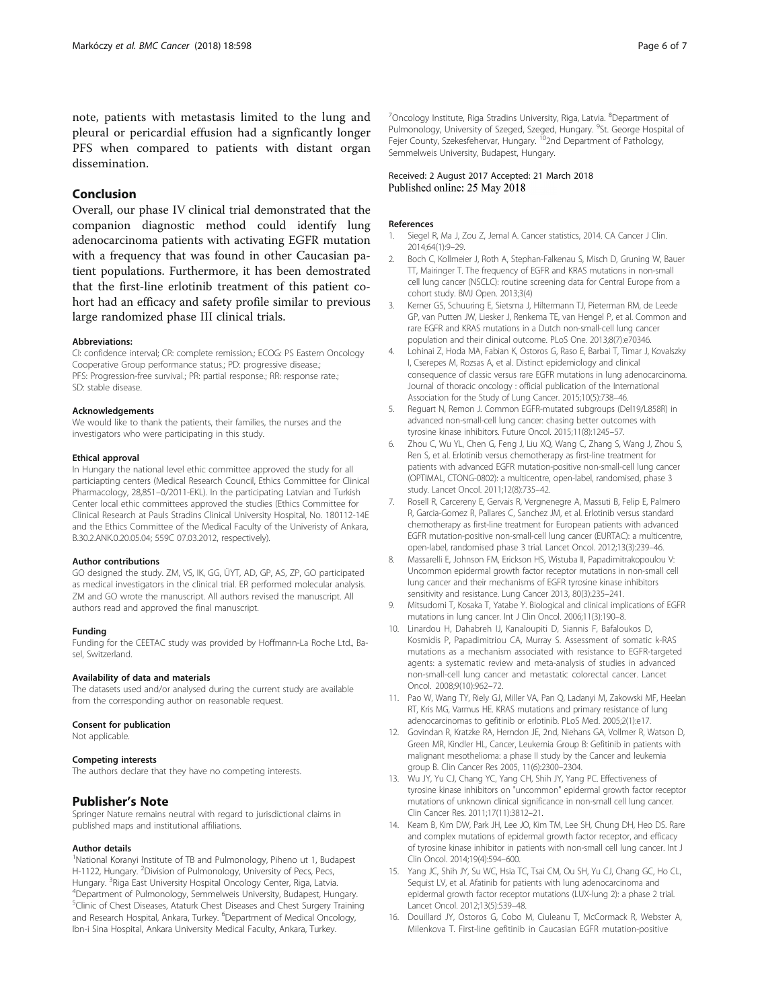<span id="page-5-0"></span>note, patients with metastasis limited to the lung and pleural or pericardial effusion had a signficantly longer PFS when compared to patients with distant organ dissemination.

# Conclusion

Overall, our phase IV clinical trial demonstrated that the companion diagnostic method could identify lung adenocarcinoma patients with activating EGFR mutation with a frequency that was found in other Caucasian patient populations. Furthermore, it has been demostrated that the first-line erlotinib treatment of this patient cohort had an efficacy and safety profile similar to previous large randomized phase III clinical trials.

#### Abbreviations:

CI: confidence interval; CR: complete remission.; ECOG: PS Eastern Oncology Cooperative Group performance status.; PD: progressive disease.; PFS: Progression-free survival.; PR: partial response.; RR: response rate.; SD: stable disease.

#### Acknowledgements

We would like to thank the patients, their families, the nurses and the investigators who were participating in this study.

#### Ethical approval

In Hungary the national level ethic committee approved the study for all particiapting centers (Medical Research Council, Ethics Committee for Clinical Pharmacology, 28,851–0/2011-EKL). In the participating Latvian and Turkish Center local ethic committees approved the studies (Ethics Committee for Clinical Research at Pauls Stradins Clinical University Hospital, No. 180112-14E and the Ethics Committee of the Medical Faculty of the Univeristy of Ankara, B.30.2.ANK.0.20.05.04; 559C 07.03.2012, respectively).

#### Author contributions

GO designed the study. ZM, VS, IK, GG, ÜYT, AD, GP, AS, ZP, GO participated as medical investigators in the clinical trial. ER performed molecular analysis. ZM and GO wrote the manuscript. All authors revised the manuscript. All authors read and approved the final manuscript.

#### Funding

Funding for the CEETAC study was provided by Hoffmann-La Roche Ltd., Basel, Switzerland.

#### Availability of data and materials

The datasets used and/or analysed during the current study are available from the corresponding author on reasonable request.

#### Consent for publication

Not applicable.

#### Competing interests

The authors declare that they have no competing interests.

# Publisher's Note

Springer Nature remains neutral with regard to jurisdictional claims in published maps and institutional affiliations.

# Author details

<sup>1</sup>National Koranyi Institute of TB and Pulmonology, Piheno ut 1, Budapest H-1122, Hungary. <sup>2</sup>Division of Pulmonology, University of Pecs, Pecs, Hungary. <sup>3</sup> Riga East University Hospital Oncology Center, Riga, Latvia.<br><sup>4</sup> Department of Pulmonology, Sammolweis University, Rudanest Hur <sup>4</sup>Department of Pulmonology, Semmelweis University, Budapest, Hungary. <sup>5</sup>Clinic of Chest Diseases, Ataturk Chest Diseases and Chest Surgery Training and Research Hospital, Ankara, Turkey. <sup>6</sup>Department of Medical Oncology, Ibn-i Sina Hospital, Ankara University Medical Faculty, Ankara, Turkey.

<sup>7</sup>Oncology Institute, Riga Stradins University, Riga, Latvia. <sup>8</sup>Department of Pulmonology, University of Szeged, Szeged, Hungary. <sup>9</sup>St. George Hospital of Fejer County, Szekesfehervar, Hungary. <sup>10</sup>2nd Department of Pathology, Semmelweis University, Budapest, Hungary.

# Received: 2 August 2017 Accepted: 21 March 2018 Published online: 25 May 2018

#### References

- 1. Siegel R, Ma J, Zou Z, Jemal A. Cancer statistics, 2014. CA Cancer J Clin. 2014;64(1):9–29.
- 2. Boch C, Kollmeier J, Roth A, Stephan-Falkenau S, Misch D, Gruning W, Bauer TT, Mairinger T. The frequency of EGFR and KRAS mutations in non-small cell lung cancer (NSCLC): routine screening data for Central Europe from a cohort study. BMJ Open. 2013;3(4)
- 3. Kerner GS, Schuuring E, Sietsma J, Hiltermann TJ, Pieterman RM, de Leede GP, van Putten JW, Liesker J, Renkema TE, van Hengel P, et al. Common and rare EGFR and KRAS mutations in a Dutch non-small-cell lung cancer population and their clinical outcome. PLoS One. 2013;8(7):e70346.
- 4. Lohinai Z, Hoda MA, Fabian K, Ostoros G, Raso E, Barbai T, Timar J, Kovalszky I, Cserepes M, Rozsas A, et al. Distinct epidemiology and clinical consequence of classic versus rare EGFR mutations in lung adenocarcinoma. Journal of thoracic oncology : official publication of the International Association for the Study of Lung Cancer. 2015;10(5):738–46.
- 5. Reguart N, Remon J. Common EGFR-mutated subgroups (Del19/L858R) in advanced non-small-cell lung cancer: chasing better outcomes with tyrosine kinase inhibitors. Future Oncol. 2015;11(8):1245–57.
- 6. Zhou C, Wu YL, Chen G, Feng J, Liu XQ, Wang C, Zhang S, Wang J, Zhou S, Ren S, et al. Erlotinib versus chemotherapy as first-line treatment for patients with advanced EGFR mutation-positive non-small-cell lung cancer (OPTIMAL, CTONG-0802): a multicentre, open-label, randomised, phase 3 study. Lancet Oncol. 2011;12(8):735–42.
- 7. Rosell R, Carcereny E, Gervais R, Vergnenegre A, Massuti B, Felip E, Palmero R, Garcia-Gomez R, Pallares C, Sanchez JM, et al. Erlotinib versus standard chemotherapy as first-line treatment for European patients with advanced EGFR mutation-positive non-small-cell lung cancer (EURTAC): a multicentre, open-label, randomised phase 3 trial. Lancet Oncol. 2012;13(3):239–46.
- 8. Massarelli E, Johnson FM, Erickson HS, Wistuba II, Papadimitrakopoulou V: Uncommon epidermal growth factor receptor mutations in non-small cell lung cancer and their mechanisms of EGFR tyrosine kinase inhibitors sensitivity and resistance. Lung Cancer 2013, 80(3):235–241.
- 9. Mitsudomi T, Kosaka T, Yatabe Y. Biological and clinical implications of EGFR mutations in lung cancer. Int J Clin Oncol. 2006;11(3):190–8.
- 10. Linardou H, Dahabreh IJ, Kanaloupiti D, Siannis F, Bafaloukos D, Kosmidis P, Papadimitriou CA, Murray S. Assessment of somatic k-RAS mutations as a mechanism associated with resistance to EGFR-targeted agents: a systematic review and meta-analysis of studies in advanced non-small-cell lung cancer and metastatic colorectal cancer. Lancet Oncol. 2008;9(10):962–72.
- 11. Pao W, Wang TY, Riely GJ, Miller VA, Pan Q, Ladanyi M, Zakowski MF, Heelan RT, Kris MG, Varmus HE. KRAS mutations and primary resistance of lung adenocarcinomas to gefitinib or erlotinib. PLoS Med. 2005;2(1):e17.
- 12. Govindan R, Kratzke RA, Herndon JE, 2nd, Niehans GA, Vollmer R, Watson D, Green MR, Kindler HL, Cancer, Leukemia Group B: Gefitinib in patients with malignant mesothelioma: a phase II study by the Cancer and leukemia group B. Clin Cancer Res 2005, 11(6):2300–2304.
- 13. Wu JY, Yu CJ, Chang YC, Yang CH, Shih JY, Yang PC. Effectiveness of tyrosine kinase inhibitors on "uncommon" epidermal growth factor receptor mutations of unknown clinical significance in non-small cell lung cancer. Clin Cancer Res. 2011;17(11):3812–21.
- 14. Keam B, Kim DW, Park JH, Lee JO, Kim TM, Lee SH, Chung DH, Heo DS. Rare and complex mutations of epidermal growth factor receptor, and efficacy of tyrosine kinase inhibitor in patients with non-small cell lung cancer. Int J Clin Oncol. 2014;19(4):594–600.
- 15. Yang JC, Shih JY, Su WC, Hsia TC, Tsai CM, Ou SH, Yu CJ, Chang GC, Ho CL, Sequist LV, et al. Afatinib for patients with lung adenocarcinoma and epidermal growth factor receptor mutations (LUX-lung 2): a phase 2 trial. Lancet Oncol. 2012;13(5):539–48.
- 16. Douillard JY, Ostoros G, Cobo M, Ciuleanu T, McCormack R, Webster A, Milenkova T. First-line gefitinib in Caucasian EGFR mutation-positive